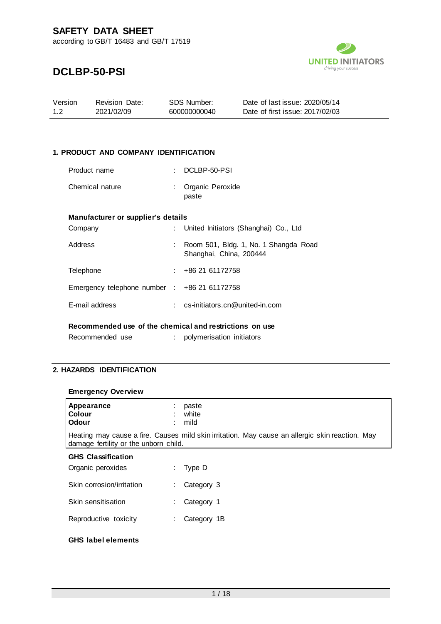

## **DCLBP-50-PSI**

| Version | <b>Revision Date:</b> | SDS Number:  | Date of last issue: 2020/05/14  |
|---------|-----------------------|--------------|---------------------------------|
| 1.2     | 2021/02/09            | 600000000040 | Date of first issue: 2017/02/03 |

#### **1. PRODUCT AND COMPANY IDENTIFICATION**

| Product name                       | DCLBP-50-PSI                            |
|------------------------------------|-----------------------------------------|
| Chemical nature                    | Organic Peroxide<br>paste               |
| Manufacturer or supplier's details |                                         |
| Company                            | : United Initiators (Shanghai) Co., Ltd |
| Address                            | Room 501, Bldg. 1, No. 1 Shangda Road   |

|                                             | Shanghai, China, 200444        |
|---------------------------------------------|--------------------------------|
| Telephone                                   | +86 21 61172758                |
| Emergency telephone number : $+86216172758$ |                                |
| E-mail address                              | cs-initiators.cn@united-in.com |
|                                             |                                |

#### **Recommended use of the chemical and restrictions on use**

| Recommended use |  | polymerisation initiators |  |
|-----------------|--|---------------------------|--|
|-----------------|--|---------------------------|--|

### **2. HAZARDS IDENTIFICATION**

#### **Emergency Overview**

| Appearance<br><b>Colour</b><br><b>Odour</b> |                                                                                                                                          | paste<br>white<br>mild |  |  |  |
|---------------------------------------------|------------------------------------------------------------------------------------------------------------------------------------------|------------------------|--|--|--|
|                                             | Heating may cause a fire. Causes mild skin irritation. May cause an allergic skin reaction. May<br>damage fertility or the unborn child. |                        |  |  |  |
| <b>GHS Classification</b>                   |                                                                                                                                          |                        |  |  |  |
| Organic peroxides                           |                                                                                                                                          | Type D                 |  |  |  |
| Skin corrosion/irritation                   |                                                                                                                                          | Category 3             |  |  |  |

| Skin sensitisation | Category 1 |
|--------------------|------------|
|                    |            |

Reproductive toxicity : Category 1B

#### **GHS label elements**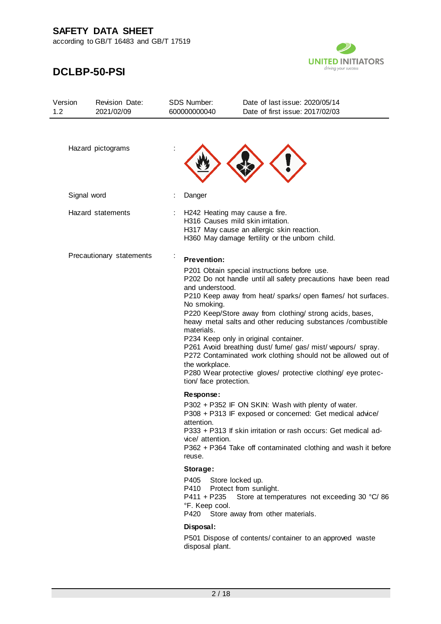according to GB/T 16483 and GB/T 17519



| Version<br>1.2 | <b>Revision Date:</b><br>2021/02/09 | <b>SDS Number:</b><br>600000000040                                                                             | Date of last issue: 2020/05/14<br>Date of first issue: 2017/02/03                                                                                                                                                                                                                                                                                                                                                                                                                                                                                   |
|----------------|-------------------------------------|----------------------------------------------------------------------------------------------------------------|-----------------------------------------------------------------------------------------------------------------------------------------------------------------------------------------------------------------------------------------------------------------------------------------------------------------------------------------------------------------------------------------------------------------------------------------------------------------------------------------------------------------------------------------------------|
|                | Hazard pictograms                   |                                                                                                                |                                                                                                                                                                                                                                                                                                                                                                                                                                                                                                                                                     |
| Signal word    |                                     | Danger                                                                                                         |                                                                                                                                                                                                                                                                                                                                                                                                                                                                                                                                                     |
|                | Hazard statements                   |                                                                                                                | H242 Heating may cause a fire.<br>H316 Causes mild skin irritation.<br>H317 May cause an allergic skin reaction.<br>H360 May damage fertility or the unborn child.                                                                                                                                                                                                                                                                                                                                                                                  |
|                | Precautionary statements            | <b>Prevention:</b><br>and understood.<br>No smoking.<br>materials.<br>the workplace.<br>tion/ face protection. | P201 Obtain special instructions before use.<br>P202 Do not handle until all safety precautions have been read<br>P210 Keep away from heat/ sparks/ open flames/ hot surfaces.<br>P220 Keep/Store away from clothing/ strong acids, bases,<br>heavy metal salts and other reducing substances /combustible<br>P234 Keep only in original container.<br>P261 Avoid breathing dust/ fume/ gas/ mist/ vapours/ spray.<br>P272 Contaminated work clothing should not be allowed out of<br>P280 Wear protective gloves/ protective clothing/ eye protec- |
|                |                                     | Response:<br>attention.<br>vice/ attention.<br>reuse.<br>Storage:                                              | P302 + P352 IF ON SKIN: Wash with plenty of water.<br>P308 + P313 IF exposed or concerned: Get medical advice/<br>P333 + P313 If skin irritation or rash occurs: Get medical ad-<br>P362 + P364 Take off contaminated clothing and wash it before                                                                                                                                                                                                                                                                                                   |
|                |                                     | P405<br>P410<br>P411 + P235<br>°F. Keep cool.                                                                  | Store locked up.<br>Protect from sunlight.<br>Store at temperatures not exceeding 30 °C/86<br>P420 Store away from other materials.                                                                                                                                                                                                                                                                                                                                                                                                                 |
|                |                                     | Disposal:<br>disposal plant.                                                                                   | P501 Dispose of contents/ container to an approved waste                                                                                                                                                                                                                                                                                                                                                                                                                                                                                            |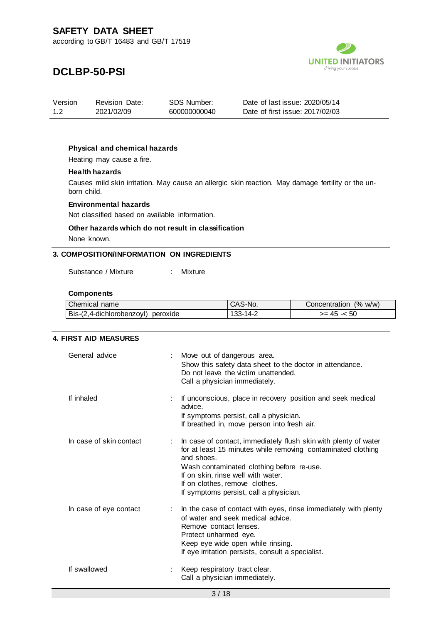

## **DCLBP-50-PSI**

| Version | <b>Revision Date:</b> | SDS Number:  | Date of last issue: 2020/05/14  |
|---------|-----------------------|--------------|---------------------------------|
| 1.2     | 2021/02/09            | 600000000040 | Date of first issue: 2017/02/03 |

#### **Physical and chemical hazards**

Heating may cause a fire.

#### **Health hazards**

Causes mild skin irritation. May cause an allergic skin reaction. May damage fertility or the unborn child.

#### **Environmental hazards**

Not classified based on available information.

### **Other hazards which do not result in classification**

None known.

#### **3. COMPOSITION/INFORMATION ON INGREDIENTS**

Substance / Mixture : Mixture

#### **Components**

| Chemical name                         | CAS-No.     | (% w/w)<br>Concentration |
|---------------------------------------|-------------|--------------------------|
| Bis-(2,4-dichlorobenzoyl)<br>peroxide | ے۔14-213-14 | 50<br>>= 45<br>--        |

#### **4. FIRST AID MEASURES**

| General advice          | Move out of dangerous area.<br>Show this safety data sheet to the doctor in attendance.<br>Do not leave the victim unattended.<br>Call a physician immediately.                                                                                                                                              |
|-------------------------|--------------------------------------------------------------------------------------------------------------------------------------------------------------------------------------------------------------------------------------------------------------------------------------------------------------|
| If inhaled              | If unconscious, place in recovery position and seek medical<br>advice.<br>If symptoms persist, call a physician.<br>If breathed in, move person into fresh air.                                                                                                                                              |
| In case of skin contact | In case of contact, immediately flush skin with plenty of water<br>for at least 15 minutes while removing contaminated clothing<br>and shoes.<br>Wash contaminated clothing before re-use.<br>If on skin, rinse well with water.<br>If on clothes, remove clothes.<br>If symptoms persist, call a physician. |
| In case of eye contact  | In the case of contact with eyes, rinse immediately with plenty<br>t.<br>of water and seek medical advice.<br>Remove contact lenses.<br>Protect unharmed eye.<br>Keep eye wide open while rinsing.<br>If eye irritation persists, consult a specialist.                                                      |
| If swallowed            | Keep respiratory tract clear.<br>Call a physician immediately.                                                                                                                                                                                                                                               |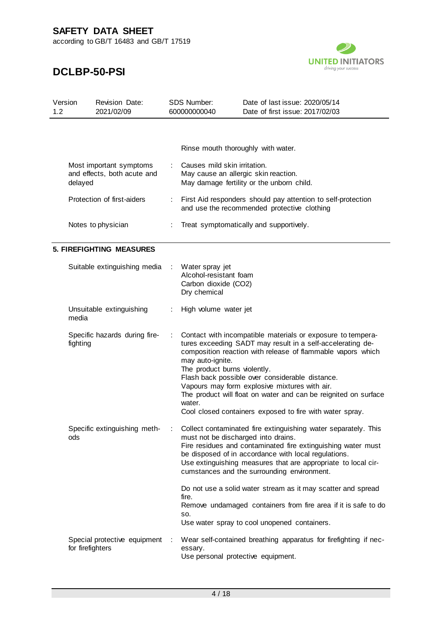according to GB/T 16483 and GB/T 17519



| Version<br>1.2 | Revision Date:<br>2021/02/09                                      |                | <b>SDS Number:</b><br>600000000040                                                                                | Date of last issue: 2020/05/14<br>Date of first issue: 2017/02/03                                                                                                                                                                                                                                                                                                                                                                                                                        |
|----------------|-------------------------------------------------------------------|----------------|-------------------------------------------------------------------------------------------------------------------|------------------------------------------------------------------------------------------------------------------------------------------------------------------------------------------------------------------------------------------------------------------------------------------------------------------------------------------------------------------------------------------------------------------------------------------------------------------------------------------|
|                |                                                                   |                |                                                                                                                   |                                                                                                                                                                                                                                                                                                                                                                                                                                                                                          |
|                |                                                                   |                | Rinse mouth thoroughly with water.                                                                                |                                                                                                                                                                                                                                                                                                                                                                                                                                                                                          |
|                | Most important symptoms<br>and effects, both acute and<br>delayed |                | Causes mild skin irritation.<br>May cause an allergic skin reaction.<br>May damage fertility or the unborn child. |                                                                                                                                                                                                                                                                                                                                                                                                                                                                                          |
|                | Protection of first-aiders                                        | ÷              |                                                                                                                   | First Aid responders should pay attention to self-protection<br>and use the recommended protective clothing                                                                                                                                                                                                                                                                                                                                                                              |
|                | Notes to physician                                                | ÷              |                                                                                                                   | Treat symptomatically and supportively.                                                                                                                                                                                                                                                                                                                                                                                                                                                  |
|                | <b>5. FIREFIGHTING MEASURES</b>                                   |                |                                                                                                                   |                                                                                                                                                                                                                                                                                                                                                                                                                                                                                          |
|                | Suitable extinguishing media                                      | ÷              | Water spray jet<br>Alcohol-resistant foam<br>Carbon dioxide (CO2)<br>Dry chemical                                 |                                                                                                                                                                                                                                                                                                                                                                                                                                                                                          |
|                | Unsuitable extinguishing<br>media                                 |                | High volume water jet                                                                                             |                                                                                                                                                                                                                                                                                                                                                                                                                                                                                          |
|                | Specific hazards during fire-<br>fighting                         | ÷              | may auto-ignite.<br>The product burns violently.<br>water.                                                        | Contact with incompatible materials or exposure to tempera-<br>tures exceeding SADT may result in a self-accelerating de-<br>composition reaction with release of flammable vapors which<br>Flash back possible over considerable distance.<br>Vapours may form explosive mixtures with air.<br>The product will float on water and can be reignited on surface<br>Cool closed containers exposed to fire with water spray.                                                              |
|                | Specific extinguishing meth-<br>ods                               |                | must not be discharged into drains.<br>fire.<br>SO.                                                               | Collect contaminated fire extinguishing water separately. This<br>Fire residues and contaminated fire extinguishing water must<br>be disposed of in accordance with local regulations.<br>Use extinguishing measures that are appropriate to local cir-<br>cumstances and the surrounding environment.<br>Do not use a solid water stream as it may scatter and spread<br>Remove undamaged containers from fire area if it is safe to do<br>Use water spray to cool unopened containers. |
|                | Special protective equipment<br>for firefighters                  | $\mathbb{R}^2$ | essary.<br>Use personal protective equipment.                                                                     | Wear self-contained breathing apparatus for firefighting if nec-                                                                                                                                                                                                                                                                                                                                                                                                                         |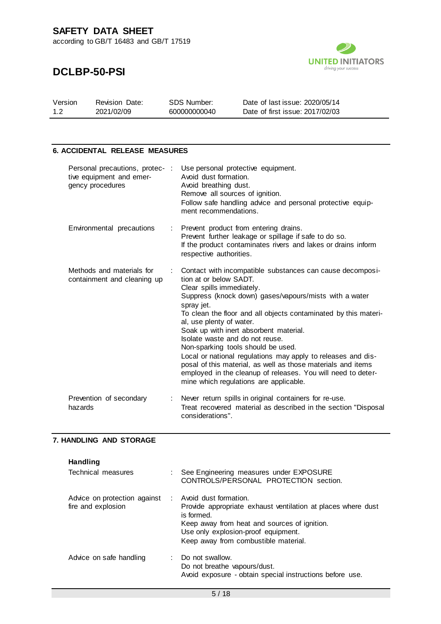according to GB/T 16483 and GB/T 17519



## **DCLBP-50-PSI**

| Version | <b>Revision Date:</b> | SDS Number:  | Date of last issue: 2020/05/14  |
|---------|-----------------------|--------------|---------------------------------|
| 1.2     | 2021/02/09            | 600000000040 | Date of first issue: 2017/02/03 |

#### **6. ACCIDENTAL RELEASE MEASURES**

| Personal precautions, protec-:<br>tive equipment and emer-<br>gency procedures |    | Use personal protective equipment.<br>Avoid dust formation.<br>Avoid breathing dust.<br>Remove all sources of ignition.<br>Follow safe handling advice and personal protective equip-<br>ment recommendations.                                                                                                                                                                                                                                                                                                                                                                                                                                       |
|--------------------------------------------------------------------------------|----|------------------------------------------------------------------------------------------------------------------------------------------------------------------------------------------------------------------------------------------------------------------------------------------------------------------------------------------------------------------------------------------------------------------------------------------------------------------------------------------------------------------------------------------------------------------------------------------------------------------------------------------------------|
| Environmental precautions                                                      |    | : Prevent product from entering drains.<br>Prevent further leakage or spillage if safe to do so.<br>If the product contaminates rivers and lakes or drains inform<br>respective authorities.                                                                                                                                                                                                                                                                                                                                                                                                                                                         |
| Methods and materials for<br>containment and cleaning up                       | ÷. | Contact with incompatible substances can cause decomposi-<br>tion at or below SADT.<br>Clear spills immediately.<br>Suppress (knock down) gases/vapours/mists with a water<br>spray jet.<br>To clean the floor and all objects contaminated by this materi-<br>al, use plenty of water.<br>Soak up with inert absorbent material.<br>Isolate waste and do not reuse.<br>Non-sparking tools should be used.<br>Local or national regulations may apply to releases and dis-<br>posal of this material, as well as those materials and items<br>employed in the cleanup of releases. You will need to deter-<br>mine which regulations are applicable. |
| Prevention of secondary<br>hazards                                             |    | Never return spills in original containers for re-use.<br>Treat recovered material as described in the section "Disposal<br>considerations".                                                                                                                                                                                                                                                                                                                                                                                                                                                                                                         |

#### **7. HANDLING AND STORAGE**

| Handling                     |                                                                                                                            |
|------------------------------|----------------------------------------------------------------------------------------------------------------------------|
| Technical measures           | : See Engineering measures under EXPOSURE<br>CONTROLS/PERSONAL PROTECTION section.                                         |
| Advice on protection against | : Avoid dust formation.                                                                                                    |
| fire and explosion           | Provide appropriate exhaust ventilation at places where dust<br>is formed.<br>Keep away from heat and sources of ignition. |
|                              | Use only explosion-proof equipment.                                                                                        |
|                              | Keep away from combustible material.                                                                                       |
| Advice on safe handling      | : Do not swallow.                                                                                                          |
|                              | Do not breathe vapours/dust.                                                                                               |
|                              | Avoid exposure - obtain special instructions before use.                                                                   |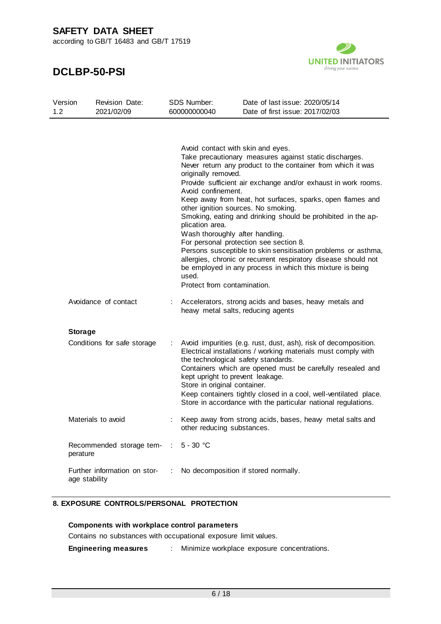according to GB/T 16483 and GB/T 17519

### **DCLBP-50-PSI**



| Version<br>1.2 |                | <b>Revision Date:</b><br>2021/02/09  |            | <b>SDS Number:</b><br>600000000040                                                                                                                                                                                  | Date of last issue: 2020/05/14<br>Date of first issue: 2017/02/03                                                                                                                                                                                                                                                                                                                                                                                                                                                                                              |
|----------------|----------------|--------------------------------------|------------|---------------------------------------------------------------------------------------------------------------------------------------------------------------------------------------------------------------------|----------------------------------------------------------------------------------------------------------------------------------------------------------------------------------------------------------------------------------------------------------------------------------------------------------------------------------------------------------------------------------------------------------------------------------------------------------------------------------------------------------------------------------------------------------------|
|                |                |                                      |            | Avoid contact with skin and eyes.<br>originally removed.<br>Avoid confinement.<br>other ignition sources. No smoking.<br>plication area.<br>Wash thoroughly after handling.<br>used.<br>Protect from contamination. | Take precautionary measures against static discharges.<br>Never return any product to the container from which it was<br>Provide sufficient air exchange and/or exhaust in work rooms.<br>Keep away from heat, hot surfaces, sparks, open flames and<br>Smoking, eating and drinking should be prohibited in the ap-<br>For personal protection see section 8.<br>Persons susceptible to skin sensitisation problems or asthma,<br>allergies, chronic or recurrent respiratory disease should not<br>be employed in any process in which this mixture is being |
|                |                | Avoidance of contact                 |            | heavy metal salts, reducing agents                                                                                                                                                                                  | Accelerators, strong acids and bases, heavy metals and                                                                                                                                                                                                                                                                                                                                                                                                                                                                                                         |
|                | <b>Storage</b> |                                      |            |                                                                                                                                                                                                                     |                                                                                                                                                                                                                                                                                                                                                                                                                                                                                                                                                                |
|                |                | Conditions for safe storage          |            | the technological safety standards.<br>kept upright to prevent leakage.<br>Store in original container.                                                                                                             | Avoid impurities (e.g. rust, dust, ash), risk of decomposition.<br>Electrical installations / working materials must comply with<br>Containers which are opened must be carefully resealed and<br>Keep containers tightly closed in a cool, well-ventilated place.<br>Store in accordance with the particular national regulations.                                                                                                                                                                                                                            |
|                |                | Materials to avoid                   |            | other reducing substances.                                                                                                                                                                                          | Keep away from strong acids, bases, heavy metal salts and                                                                                                                                                                                                                                                                                                                                                                                                                                                                                                      |
|                | perature       | Recommended storage tem- : 5 - 30 °C |            |                                                                                                                                                                                                                     |                                                                                                                                                                                                                                                                                                                                                                                                                                                                                                                                                                |
|                | age stability  | Further information on stor-         | $\sim 100$ |                                                                                                                                                                                                                     | No decomposition if stored normally.                                                                                                                                                                                                                                                                                                                                                                                                                                                                                                                           |

#### **8. EXPOSURE CONTROLS/PERSONAL PROTECTION**

**Components with workplace control parameters**

Contains no substances with occupational exposure limit values.

**Engineering measures** : Minimize workplace exposure concentrations.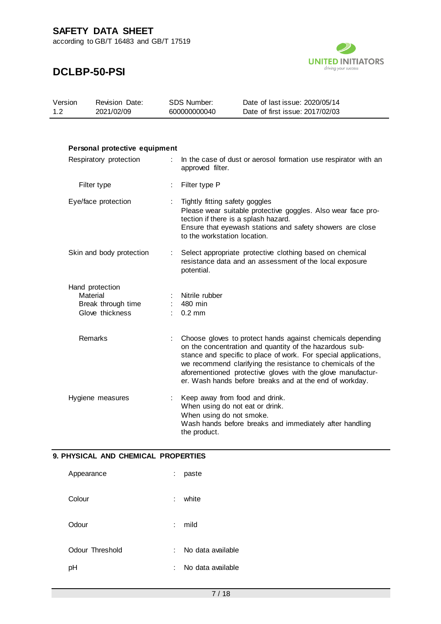according to GB/T 16483 and GB/T 17519



## **DCLBP-50-PSI**

| Version | <b>Revision Date:</b> | SDS Number:  | Date of last issue: 2020/05/14  |
|---------|-----------------------|--------------|---------------------------------|
| 1.2     | 2021/02/09            | 600000000040 | Date of first issue: 2017/02/03 |

### **Personal protective equipment** Respiratory protection : In the case of dust or aerosol formation use respirator with an approved filter. Filter type : Filter type P Eye/face protection : Tightly fitting safety goggles Please wear suitable protective goggles. Also wear face protection if there is a splash hazard. Ensure that eyewash stations and safety showers are close to the workstation location. Skin and body protection : Select appropriate protective clothing based on chemical resistance data and an assessment of the local exposure potential. Hand protection<br>Material : Nitrile rubber<br>: 480 min Break through time : Glove thickness : 0.2 mm Remarks : Choose gloves to protect hands against chemicals depending on the concentration and quantity of the hazardous substance and specific to place of work. For special applications, we recommend clarifying the resistance to chemicals of the aforementioned protective gloves with the glove manufacturer. Wash hands before breaks and at the end of workday. Hygiene measures : Keep away from food and drink. When using do not eat or drink. When using do not smoke. Wash hands before breaks and immediately after handling the product.

#### **9. PHYSICAL AND CHEMICAL PROPERTIES**

| Appearance      | t. | paste             |
|-----------------|----|-------------------|
| Colour          | ÷. | white             |
| Odour           | t. | mild              |
| Odour Threshold | t. | No data available |
| рH              | ÷. | No data available |
|                 |    |                   |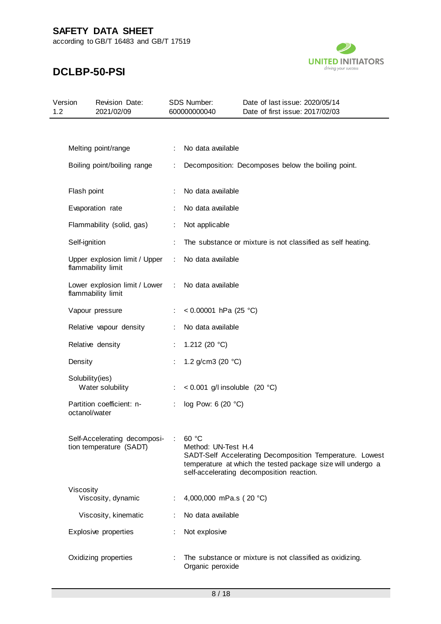according to GB/T 16483 and GB/T 17519



| Version<br>1.2 |                 | <b>Revision Date:</b><br>2021/02/09                     |   | SDS Number:<br>600000000040     | Date of last issue: 2020/05/14<br>Date of first issue: 2017/02/03                                                                                                    |
|----------------|-----------------|---------------------------------------------------------|---|---------------------------------|----------------------------------------------------------------------------------------------------------------------------------------------------------------------|
|                |                 |                                                         |   |                                 |                                                                                                                                                                      |
|                |                 | Melting point/range                                     |   | No data available               |                                                                                                                                                                      |
|                |                 | Boiling point/boiling range                             |   |                                 | Decomposition: Decomposes below the boiling point.                                                                                                                   |
|                | Flash point     |                                                         |   | No data available               |                                                                                                                                                                      |
|                |                 | Evaporation rate                                        |   | No data available               |                                                                                                                                                                      |
|                |                 | Flammability (solid, gas)                               |   | Not applicable                  |                                                                                                                                                                      |
|                | Self-ignition   |                                                         |   |                                 | The substance or mixture is not classified as self heating.                                                                                                          |
|                |                 | Upper explosion limit / Upper<br>flammability limit     | ÷ | No data available               |                                                                                                                                                                      |
|                |                 | Lower explosion limit / Lower<br>flammability limit     | ÷ | No data available               |                                                                                                                                                                      |
|                |                 | Vapour pressure                                         |   | < 0.00001 hPa (25 °C)           |                                                                                                                                                                      |
|                |                 | Relative vapour density                                 |   | No data available               |                                                                                                                                                                      |
|                |                 | Relative density                                        |   | 1.212 (20 $°C$ )                |                                                                                                                                                                      |
|                | Density         |                                                         |   | 1.2 g/cm3 (20 $°C$ )            |                                                                                                                                                                      |
|                | Solubility(ies) | Water solubility                                        |   | < 0.001 g/l insoluble $(20 °C)$ |                                                                                                                                                                      |
|                | octanol/water   | Partition coefficient: n-                               |   | log Pow: 6 (20 °C)              |                                                                                                                                                                      |
|                |                 | Self-Accelerating decomposi-<br>tion temperature (SADT) |   | 60 °C<br>Method: UN-Test H.4    | SADT-Self Accelerating Decomposition Temperature. Lowest<br>temperature at which the tested package size will undergo a<br>self-accelerating decomposition reaction. |
|                | Viscosity       | Viscosity, dynamic                                      |   | 4,000,000 mPa.s (20 °C)         |                                                                                                                                                                      |
|                |                 | Viscosity, kinematic                                    |   | No data available               |                                                                                                                                                                      |
|                |                 | Explosive properties                                    |   | Not explosive                   |                                                                                                                                                                      |
|                |                 | Oxidizing properties                                    |   | Organic peroxide                | The substance or mixture is not classified as oxidizing.                                                                                                             |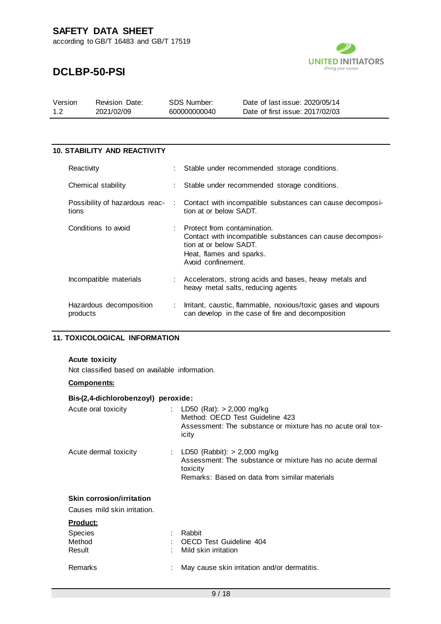according to GB/T 16483 and GB/T 17519



## **DCLBP-50-PSI**

| Version | <b>Revision Date:</b> | SDS Number:  | Date of last issue: 2020/05/14  |
|---------|-----------------------|--------------|---------------------------------|
| $-1.2$  | 2021/02/09            | 600000000040 | Date of first issue: 2017/02/03 |

#### **10. STABILITY AND REACTIVITY**

| Reactivity                              |    | : Stable under recommended storage conditions.                                                                                                                       |
|-----------------------------------------|----|----------------------------------------------------------------------------------------------------------------------------------------------------------------------|
| Chemical stability                      |    | Stable under recommended storage conditions.                                                                                                                         |
| Possibility of hazardous reac-<br>tions | A. | Contact with incompatible substances can cause decomposi-<br>tion at or below SADT.                                                                                  |
| Conditions to avoid                     |    | Protect from contamination.<br>Contact with incompatible substances can cause decomposi-<br>tion at or below SADT.<br>Heat, flames and sparks.<br>Avoid confinement. |
| Incompatible materials                  | ÷. | Accelerators, strong acids and bases, heavy metals and<br>heavy metal salts, reducing agents                                                                         |
| Hazardous decomposition<br>products     |    | Irritant, caustic, flammable, noxious/toxic gases and vapours<br>can develop in the case of fire and decomposition                                                   |

#### **11. TOXICOLOGICAL INFORMATION**

#### **Acute toxicity**

Not classified based on available information.

#### **Components:**

| Bis-(2,4-dichlorobenzoyl) peroxide: |                                                                                                                                                           |
|-------------------------------------|-----------------------------------------------------------------------------------------------------------------------------------------------------------|
| Acute oral toxicity                 | : LD50 (Rat): $> 2,000$ mg/kg<br>Method: OECD Test Guideline 423<br>Assessment: The substance or mixture has no acute oral tox-<br>icity                  |
| Acute dermal toxicity               | : LD50 (Rabbit): $> 2,000$ mg/kg<br>Assessment: The substance or mixture has no acute dermal<br>toxicity<br>Remarks: Based on data from similar materials |
| Skin corrosion/irritation           |                                                                                                                                                           |
| Causes mild skin irritation.        |                                                                                                                                                           |
| <b>Product:</b>                     |                                                                                                                                                           |
| <b>Species</b>                      | Rabbit                                                                                                                                                    |
| Method                              | OECD Test Guideline 404                                                                                                                                   |
| Result                              | Mild skin irritation                                                                                                                                      |
| <b>Remarks</b>                      | May cause skin irritation and/or dermatitis.                                                                                                              |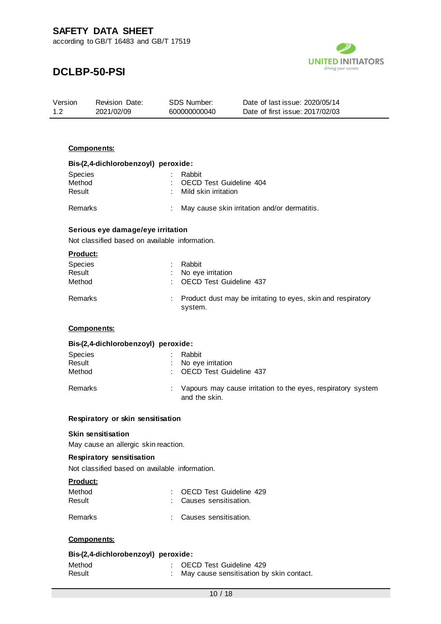

## **DCLBP-50-PSI**

| Version | <b>Revision Date:</b> | SDS Number:  | Date of last issue: 2020/05/14  |
|---------|-----------------------|--------------|---------------------------------|
| 1.2     | 2021/02/09            | 600000000040 | Date of first issue: 2017/02/03 |

#### **Components:**

| Bis-(2,4-dichlorobenzoyl) peroxide: |                                              |
|-------------------------------------|----------------------------------------------|
| Species                             | Rabbit                                       |
| Method                              | OECD Test Guideline 404                      |
| Result                              | Mild skin irritation                         |
| Remarks                             | May cause skin irritation and/or dermatitis. |

#### **Serious eye damage/eye irritation**

Not classified based on available information.

|--|

| <b>Species</b><br>Result<br>Method | Rabbit<br>: No eye irritation<br>: OECD Test Guideline 437                |
|------------------------------------|---------------------------------------------------------------------------|
| Remarks                            | : Product dust may be irritating to eyes, skin and respiratory<br>system. |

#### **Components:**

#### **Bis-(2,4-dichlorobenzoyl) peroxide:**

| <b>Species</b><br>Result<br>Method | Rabbit<br>: No eye irritation<br>: OECD Test Guideline 437                      |
|------------------------------------|---------------------------------------------------------------------------------|
| Remarks                            | : Vapours may cause irritation to the eyes, respiratory system<br>and the skin. |

#### **Respiratory or skin sensitisation**

#### **Skin sensitisation**

May cause an allergic skin reaction.

#### **Respiratory sensitisation**

Not classified based on available information.

#### **Product:**

| Method         | : OECD Test Guideline 429 |
|----------------|---------------------------|
| Result         | : Causes sensitisation.   |
| <b>Remarks</b> | : Causes sensitisation.   |

#### **Components:**

#### **Bis-(2,4-dichlorobenzoyl) peroxide:**

| Method | : OECD Test Guideline 429                  |
|--------|--------------------------------------------|
| Result | : May cause sensitisation by skin contact. |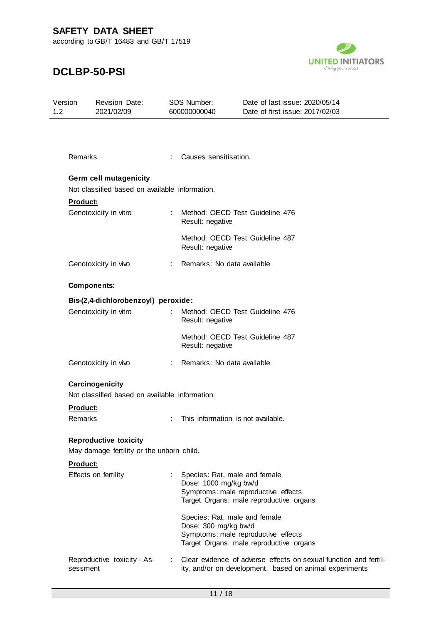

| Version<br>$1.2^{\circ}$ | Revision Date:<br>2021/02/09                   |    | <b>SDS Number:</b><br>600000000040 | Date of last issue: 2020/05/14<br>Date of first issue: 2017/02/03                                                           |
|--------------------------|------------------------------------------------|----|------------------------------------|-----------------------------------------------------------------------------------------------------------------------------|
|                          |                                                |    |                                    |                                                                                                                             |
| Remarks                  |                                                |    | Causes sensitisation.              |                                                                                                                             |
|                          | Germ cell mutagenicity                         |    |                                    |                                                                                                                             |
|                          | Not classified based on available information. |    |                                    |                                                                                                                             |
| Product:                 |                                                |    |                                    |                                                                                                                             |
|                          | Genotoxicity in vitro                          |    | Result: negative                   | Method: OECD Test Guideline 476                                                                                             |
|                          |                                                |    | Result: negative                   | Method: OECD Test Guideline 487                                                                                             |
|                          | Genotoxicity in vivo                           |    | Remarks: No data available         |                                                                                                                             |
|                          | <b>Components:</b>                             |    |                                    |                                                                                                                             |
|                          | Bis-(2,4-dichlorobenzoyl) peroxide:            |    |                                    |                                                                                                                             |
|                          | Genotoxicity in vitro                          | ÷  | Result: negative                   | Method: OECD Test Guideline 476                                                                                             |
|                          |                                                |    | Result: negative                   | Method: OECD Test Guideline 487                                                                                             |
|                          | Genotoxicity in vivo                           | ÷. | Remarks: No data available         |                                                                                                                             |
|                          | Carcinogenicity                                |    |                                    |                                                                                                                             |
|                          | Not classified based on available information. |    |                                    |                                                                                                                             |
| Product:                 |                                                |    |                                    |                                                                                                                             |
| Remarks                  |                                                |    | This information is not available. |                                                                                                                             |
|                          | <b>Reproductive toxicity</b>                   |    |                                    |                                                                                                                             |
|                          | May damage fertility or the unborn child.      |    |                                    |                                                                                                                             |
| Product:                 |                                                |    |                                    |                                                                                                                             |
|                          | Effects on fertility                           |    | Dose: 1000 mg/kg bw/d              | Species: Rat, male and female                                                                                               |
|                          |                                                |    |                                    | Symptoms: male reproductive effects                                                                                         |
|                          |                                                |    |                                    | Target Organs: male reproductive organs                                                                                     |
|                          |                                                |    |                                    | Species: Rat, male and female                                                                                               |
|                          |                                                |    | Dose: 300 mg/kg bw/d               |                                                                                                                             |
|                          |                                                |    |                                    | Symptoms: male reproductive effects                                                                                         |
|                          |                                                |    |                                    | Target Organs: male reproductive organs                                                                                     |
|                          | Reproductive toxicity - As-<br>sessment        |    |                                    | Clear evidence of adverse effects on sexual function and fertil-<br>ity, and/or on development, based on animal experiments |
|                          |                                                |    |                                    |                                                                                                                             |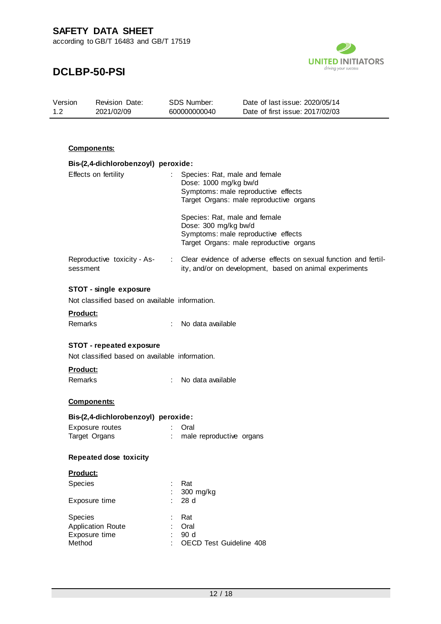

## **DCLBP-50-PSI**

| Version | <b>Revision Date:</b> | SDS Number:  | Date of last issue: 2020/05/14  |  |
|---------|-----------------------|--------------|---------------------------------|--|
| 12      | 2021/02/09            | 600000000040 | Date of first issue: 2017/02/03 |  |

#### **Components:**

| Bis-(2,4-dichlorobenzoyl) peroxide:            |                                                                    |  |  |  |  |
|------------------------------------------------|--------------------------------------------------------------------|--|--|--|--|
| Effects on fertility<br>t.                     | Species: Rat, male and female                                      |  |  |  |  |
|                                                | Dose: 1000 mg/kg bw/d                                              |  |  |  |  |
|                                                | Symptoms: male reproductive effects                                |  |  |  |  |
|                                                | Target Organs: male reproductive organs                            |  |  |  |  |
|                                                | Species: Rat, male and female                                      |  |  |  |  |
|                                                | Dose: 300 mg/kg bw/d                                               |  |  |  |  |
|                                                | Symptoms: male reproductive effects                                |  |  |  |  |
|                                                | Target Organs: male reproductive organs                            |  |  |  |  |
| Reproductive toxicity - As-                    | : Clear evidence of adverse effects on sexual function and fertil- |  |  |  |  |
| sessment                                       | ity, and/or on development, based on animal experiments            |  |  |  |  |
|                                                |                                                                    |  |  |  |  |
| STOT - single exposure                         |                                                                    |  |  |  |  |
| Not classified based on available information. |                                                                    |  |  |  |  |
| <u>Product:</u>                                |                                                                    |  |  |  |  |
| Remarks<br>÷                                   | No data available                                                  |  |  |  |  |
|                                                |                                                                    |  |  |  |  |
| <b>STOT - repeated exposure</b>                |                                                                    |  |  |  |  |
| Not classified based on available information. |                                                                    |  |  |  |  |
| Product:                                       |                                                                    |  |  |  |  |
| Remarks<br>t.                                  | No data available                                                  |  |  |  |  |
|                                                |                                                                    |  |  |  |  |
| <b>Components:</b>                             |                                                                    |  |  |  |  |
| Bis-(2,4-dichlorobenzoyl) peroxide:            |                                                                    |  |  |  |  |
| Exposure routes                                | Oral                                                               |  |  |  |  |
| $\mathcal{L}_{\mathcal{A}}$<br>Target Organs   | male reproductive organs                                           |  |  |  |  |
|                                                |                                                                    |  |  |  |  |
| <b>Repeated dose toxicity</b>                  |                                                                    |  |  |  |  |
| <b>Product:</b>                                |                                                                    |  |  |  |  |
| <b>Species</b>                                 | Rat                                                                |  |  |  |  |
|                                                | 300 mg/kg                                                          |  |  |  |  |
| Exposure time                                  | 28 d                                                               |  |  |  |  |
|                                                |                                                                    |  |  |  |  |
| Species<br><b>Application Route</b>            | Rat                                                                |  |  |  |  |
| Exposure time                                  | Oral<br>90 d                                                       |  |  |  |  |
| Method                                         | OECD Test Guideline 408                                            |  |  |  |  |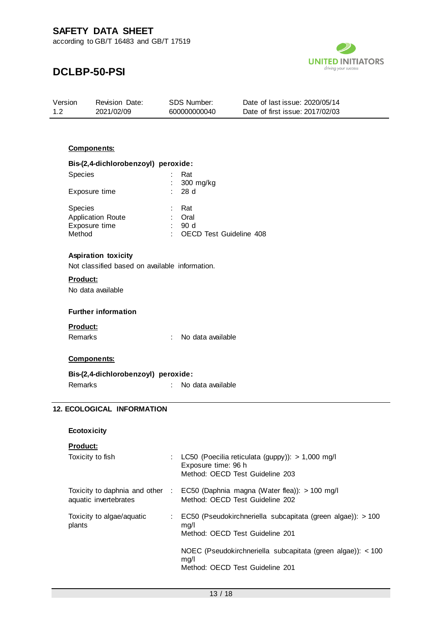

## **DCLBP-50-PSI**

| Version | <b>Revision Date:</b> | SDS Number:  | Date of last issue: 2020/05/14  |
|---------|-----------------------|--------------|---------------------------------|
| 1.2     | 2021/02/09            | 600000000040 | Date of first issue: 2017/02/03 |

#### **Components:**

| Bis-(2,4-dichlorobenzoyl) peroxide: |   |                         |
|-------------------------------------|---|-------------------------|
| <b>Species</b>                      |   | Rat                     |
|                                     |   | 300 mg/kg               |
| Exposure time                       |   | : 28d                   |
| <b>Species</b>                      |   | Rat                     |
| Application Route                   |   | Oral                    |
| Exposure time                       |   | 90 d                    |
| Method                              | ÷ | OECD Test Guideline 408 |

#### **Aspiration toxicity**

Not classified based on available information.

#### **Product:**

No data available

#### **Further information**

#### **Product:**

Remarks : No data available

#### **Components:**

#### **Bis-(2,4-dichlorobenzoyl) peroxide:**

Remarks : No data available

#### **12. ECOLOGICAL INFORMATION**

#### **Ecotoxicity**

#### **Product:**

Toxicity to fish : LC50 (Poecilia reticulata (guppy)): > 1,000 mg/l

| <b>IVAIVILY LU IIVII</b>                                 | $\frac{1}{2}$ and $\frac{1}{2}$ are $\frac{1}{2}$ and $\frac{1}{2}$ and $\frac{1}{2}$ are $\frac{1}{2}$ and $\frac{1}{2}$ are $\frac{1}{2}$ and $\frac{1}{2}$ are $\frac{1}{2}$<br>Exposure time: 96 h<br>Method: OECD Test Guideline 203 |
|----------------------------------------------------------|-------------------------------------------------------------------------------------------------------------------------------------------------------------------------------------------------------------------------------------------|
| Toxicity to daphnia and other :<br>aquatic invertebrates | EC50 (Daphnia magna (Water flea)): > 100 mg/l<br>Method: OECD Test Guideline 202                                                                                                                                                          |
| Toxicity to algae/aquatic<br>plants                      | EC50 (Pseudokirchneriella subcapitata (green algae)): > 100<br>mq/l<br>Method: OECD Test Guideline 201                                                                                                                                    |
|                                                          | NOEC (Pseudokirchneriella subcapitata (green algae)): $<$ 100<br>mq/l<br>Method: OECD Test Guideline 201                                                                                                                                  |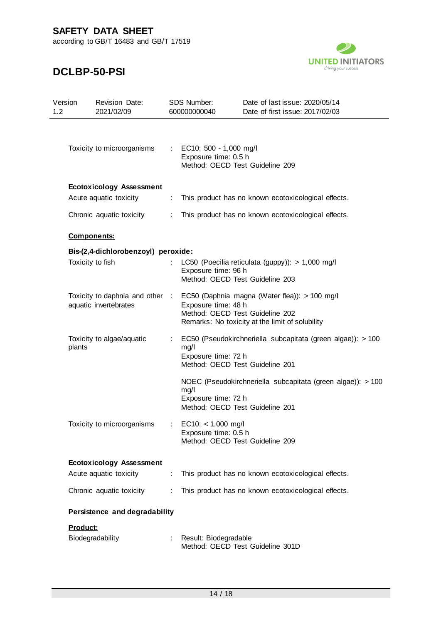according to GB/T 16483 and GB/T 17519



| Version<br>1.2 | Revision Date:<br>2021/02/09        |                                                           | SDS Number:<br>600000000040                                                                                                                                                                | Date of last issue: 2020/05/14<br>Date of first issue: 2017/02/03                              |
|----------------|-------------------------------------|-----------------------------------------------------------|--------------------------------------------------------------------------------------------------------------------------------------------------------------------------------------------|------------------------------------------------------------------------------------------------|
|                | Toxicity to microorganisms          | $\mathcal{L}^{\mathcal{L}}$ .                             | EC10: 500 - 1,000 mg/l<br>Exposure time: 0.5 h                                                                                                                                             | Method: OECD Test Guideline 209                                                                |
|                | <b>Ecotoxicology Assessment</b>     |                                                           |                                                                                                                                                                                            |                                                                                                |
|                | Acute aquatic toxicity              | ÷                                                         |                                                                                                                                                                                            | This product has no known ecotoxicological effects.                                            |
|                | Chronic aquatic toxicity            |                                                           | This product has no known ecotoxicological effects.                                                                                                                                        |                                                                                                |
|                | <b>Components:</b>                  |                                                           |                                                                                                                                                                                            |                                                                                                |
|                | Bis-(2,4-dichlorobenzoyl) peroxide: |                                                           |                                                                                                                                                                                            |                                                                                                |
|                | Toxicity to fish                    | ÷                                                         | Exposure time: 96 h                                                                                                                                                                        | LC50 (Poecilia reticulata (guppy)): > 1,000 mg/l<br>Method: OECD Test Guideline 203            |
|                | aquatic invertebrates               |                                                           | Toxicity to daphnia and other : EC50 (Daphnia magna (Water flea)): > 100 mg/l<br>Exposure time: 48 h<br>Method: OECD Test Guideline 202<br>Remarks: No toxicity at the limit of solubility |                                                                                                |
| plants         | Toxicity to algae/aquatic           |                                                           | mg/l<br>Exposure time: 72 h                                                                                                                                                                | EC50 (Pseudokirchneriella subcapitata (green algae)): > 100<br>Method: OECD Test Guideline 201 |
|                |                                     |                                                           | mg/l<br>Exposure time: 72 h                                                                                                                                                                | NOEC (Pseudokirchneriella subcapitata (green algae)): > 100<br>Method: OECD Test Guideline 201 |
|                | Toxicity to microorganisms          |                                                           | $EC10: < 1,000$ mg/l<br>Exposure time: 0.5 h<br>Method: OECD Test Guideline 209                                                                                                            |                                                                                                |
|                | <b>Ecotoxicology Assessment</b>     |                                                           |                                                                                                                                                                                            |                                                                                                |
|                | Acute aquatic toxicity              | ÷                                                         |                                                                                                                                                                                            | This product has no known ecotoxicological effects.                                            |
|                | Chronic aquatic toxicity            |                                                           | This product has no known ecotoxicological effects.                                                                                                                                        |                                                                                                |
|                | Persistence and degradability       |                                                           |                                                                                                                                                                                            |                                                                                                |
| Product:       |                                     |                                                           |                                                                                                                                                                                            |                                                                                                |
|                | Biodegradability                    | Result: Biodegradable<br>Method: OECD Test Guideline 301D |                                                                                                                                                                                            |                                                                                                |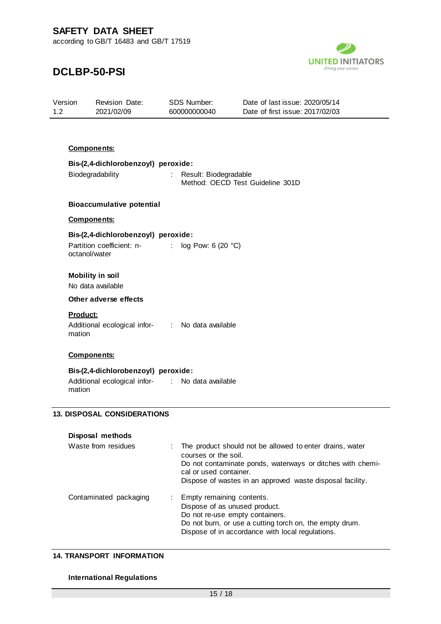

## **DCLBP-50-PSI**

| Version<br>1.2 | Revision Date:<br>2021/02/09                                    | SDS Number:<br>600000000040 | Date of last issue: 2020/05/14<br>Date of first issue: 2017/02/03                                           |
|----------------|-----------------------------------------------------------------|-----------------------------|-------------------------------------------------------------------------------------------------------------|
|                |                                                                 |                             |                                                                                                             |
|                | <b>Components:</b>                                              |                             |                                                                                                             |
|                | Bis-(2,4-dichlorobenzoyl) peroxide:                             |                             |                                                                                                             |
|                | Biodegradability                                                | Result: Biodegradable       | Method: OECD Test Guideline 301D                                                                            |
|                | <b>Bioaccumulative potential</b>                                |                             |                                                                                                             |
|                | <b>Components:</b>                                              |                             |                                                                                                             |
|                | Bis-(2,4-dichlorobenzoyl) peroxide:                             |                             |                                                                                                             |
|                | Partition coefficient: n- : log Pow: 6 (20 °C)<br>octanol/water |                             |                                                                                                             |
|                | <b>Mobility in soil</b><br>No data available                    |                             |                                                                                                             |
|                | Other adverse effects                                           |                             |                                                                                                             |
|                | Product:                                                        |                             |                                                                                                             |
| mation         | Additional ecological infor- : No data available                |                             |                                                                                                             |
|                | <b>Components:</b>                                              |                             |                                                                                                             |
|                | Bis-(2,4-dichlorobenzoyl) peroxide:                             |                             |                                                                                                             |
| mation         | Additional ecological infor- : No data available                |                             |                                                                                                             |
|                | <b>13. DISPOSAL CONSIDERATIONS</b>                              |                             |                                                                                                             |
|                | Disposal methods                                                |                             |                                                                                                             |
|                | Waste from residues                                             |                             | The product should not be allowed to enter drains, water                                                    |
|                |                                                                 | courses or the soil.        | Do not contaminate ponds, waterways or ditches with chemi-                                                  |
|                |                                                                 | cal or used container.      |                                                                                                             |
|                |                                                                 |                             | Dispose of wastes in an approved waste disposal facility.                                                   |
|                | Contaminated packaging                                          | Empty remaining contents.   |                                                                                                             |
|                |                                                                 |                             | Dispose of as unused product.<br>Do not re-use empty containers.                                            |
|                |                                                                 |                             | Do not burn, or use a cutting torch on, the empty drum.<br>Dispose of in accordance with local regulations. |
|                |                                                                 |                             |                                                                                                             |

#### **14. TRANSPORT INFORMATION**

#### **International Regulations**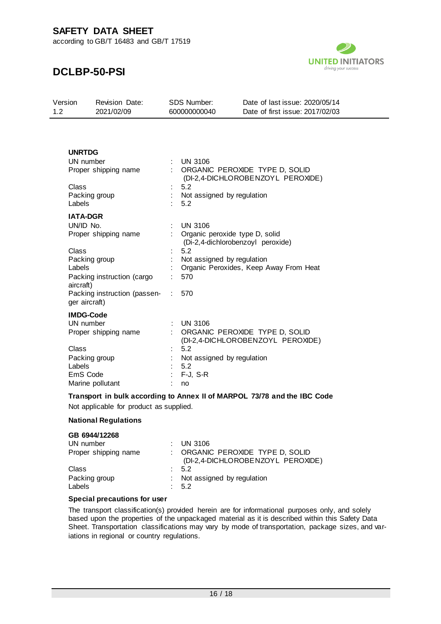according to GB/T 16483 and GB/T 17519



### **DCLBP-50-PSI**

| Version | Revision Date: | SDS Number:  | Date of last issue: 2020/05/14  |
|---------|----------------|--------------|---------------------------------|
| 12      | 2021/02/09     | 600000000040 | Date of first issue: 2017/02/03 |

#### **UNRTDG**

| UN number                                     |   | <b>UN 3106</b>                                                      |
|-----------------------------------------------|---|---------------------------------------------------------------------|
| Proper shipping name                          |   | ORGANIC PEROXIDE TYPE D, SOLID<br>(DI-2,4-DICHLOROBENZOYL PEROXIDE) |
| Class                                         |   | 5.2                                                                 |
| Packing group                                 |   | Not assigned by regulation                                          |
| Labels                                        |   | 5.2                                                                 |
| <b>IATA-DGR</b>                               |   |                                                                     |
| UN/ID No.                                     |   | <b>UN 3106</b>                                                      |
| Proper shipping name                          |   | Organic peroxide type D, solid<br>(Di-2,4-dichlorobenzoyl peroxide) |
| Class                                         |   | 5.2                                                                 |
| Packing group                                 |   | Not assigned by regulation                                          |
| Labels                                        |   | Organic Peroxides, Keep Away From Heat                              |
| Packing instruction (cargo<br>aircraft)       |   | 570                                                                 |
| Packing instruction (passen-<br>ger aircraft) | ÷ | 570                                                                 |
| <b>IMDG-Code</b>                              |   |                                                                     |
| UN number                                     |   | <b>UN 3106</b>                                                      |
| Proper shipping name                          |   | ORGANIC PEROXIDE TYPE D, SOLID<br>(DI-2,4-DICHLOROBENZOYL PEROXIDE) |
| Class                                         |   | 5.2                                                                 |
| Packing group                                 |   | Not assigned by regulation                                          |
| Labels                                        |   | 5.2                                                                 |
| EmS Code                                      |   | F-J, S-R                                                            |
| Marine pollutant                              |   | no                                                                  |

**Transport in bulk according to Annex II of MARPOL 73/78 and the IBC Code**

Not applicable for product as supplied.

#### **National Regulations**

#### **GB 6944/12268**

| UN number               | $:$ UN 3106                                                         |
|-------------------------|---------------------------------------------------------------------|
| Proper shipping name    | ORGANIC PEROXIDE TYPE D, SOLID<br>(DI-2,4-DICHLOROBENZOYL PEROXIDE) |
| Class                   | 5.2                                                                 |
| Packing group<br>Labels | : Not assigned by regulation<br>5.2                                 |

#### **Special precautions for user**

The transport classification(s) provided herein are for informational purposes only, and solely based upon the properties of the unpackaged material as it is described within this Safety Data Sheet. Transportation classifications may vary by mode of transportation, package sizes, and variations in regional or country regulations.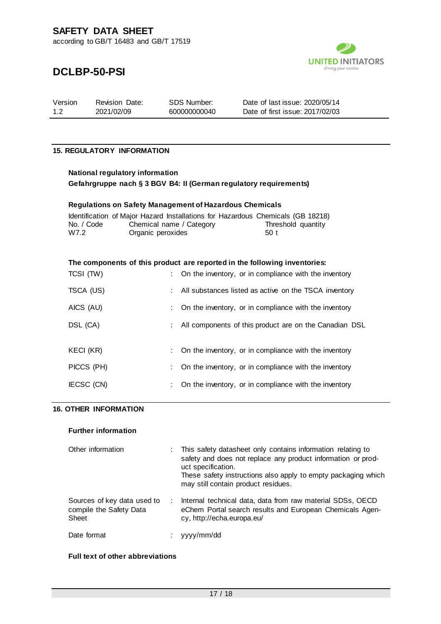

### **DCLBP-50-PSI**

| Version | Revision Date: | SDS Number:  | Date of last issue: 2020/05/14  |
|---------|----------------|--------------|---------------------------------|
| 12      | 2021/02/09     | 600000000040 | Date of first issue: 2017/02/03 |

#### **15. REGULATORY INFORMATION**

### **National regulatory information Gefahrgruppe nach § 3 BGV B4: II (German regulatory requirements)**

#### **Regulations on Safety Management of Hazardous Chemicals**

|            | Identification of Major Hazard Installations for Hazardous Chemicals (GB 18218) |                    |  |
|------------|---------------------------------------------------------------------------------|--------------------|--|
| No. / Code | Chemical name / Category                                                        | Threshold quantity |  |
| W7.2       | Organic peroxides                                                               | .50 t              |  |

#### **The components of this product are reported in the following inventories:**

| TCSI (TW)  |    | On the inventory, or in compliance with the inventory  |
|------------|----|--------------------------------------------------------|
| TSCA (US)  | ÷. | All substances listed as active on the TSCA inventory  |
| AICS (AU)  |    | On the inventory, or in compliance with the inventory  |
| DSL (CA)   | ÷  | All components of this product are on the Canadian DSL |
|            |    |                                                        |
| KECI (KR)  |    | On the inventory, or in compliance with the inventory  |
| PICCS (PH) |    | On the inventory, or in compliance with the inventory  |
| IECSC (CN) |    | On the inventory, or in compliance with the inventory  |

#### **16. OTHER INFORMATION**

#### **Further information**

| Other information                                               |               | This safety datasheet only contains information relating to<br>safety and does not replace any product information or prod-<br>uct specification.<br>These safety instructions also apply to empty packaging which<br>may still contain product residues. |
|-----------------------------------------------------------------|---------------|-----------------------------------------------------------------------------------------------------------------------------------------------------------------------------------------------------------------------------------------------------------|
| Sources of key data used to<br>compile the Safety Data<br>Sheet | $\mathcal{L}$ | Internal technical data, data from raw material SDSs, OECD<br>eChem Portal search results and European Chemicals Agen-<br>cy, http://echa.europa.eu/                                                                                                      |
| Date format                                                     |               | yyyy/mm/dd                                                                                                                                                                                                                                                |

#### **Full text of other abbreviations**